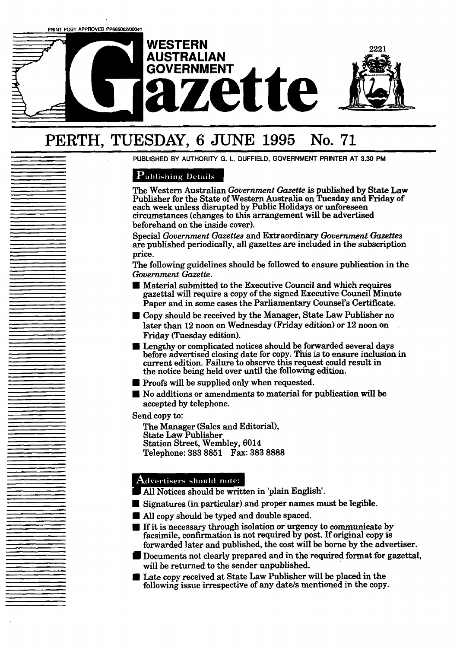# **AUSTRALIAN ette**

**WESTERN** 



## **PERTH, TUESDAY, 6 JUNE 1995 No. 71**

**PUBLISHED BY AUTHORITY G. L. DUFFIELD, GOVERNMENT PRINTER AT 3.30 PM** 

#### **Publishing Details**

The Western Australian *Gbvernment Gazette* is published by **State** Law Publisher for the State of Western Australia on Tuesday and Friday of each week unless disrupted by Public Holidays or unforeseen circumstances (changes to this arrangement **will** be advertised beforehand on the inside cover).

Special *Government Gazettes* and Extraordinary *Gouernment* **Gazettes**  are published periodically, **all** gazettes are included in the subscription price.

The following guidelines should be followed to ensure publication in the *Government Gazette.* 

- Material submitted to the Executive Council and which **requires**  gazettal will require a copy of the signed Executive Council Minute Paper and in some cases the Parliamentary Counsel's Certificate.
- Copy should be received by the Manager, **State** Law Publisher no later than 12 noon on Wednesday (Friday edition) or 12 noon on Friday (Tuesday edition).
- Lengthy or complicated notices should be forwarded several **days**  before advertised closing date for copy. **This** is to ensure inclusion in current edition. Failure to observe this request could result in the notice being held over until the following edition.
- **Proofs will be supplied only when requested.**
- No additions or amendments to material for publication **will** be accepted by telephone.

Send copy to:

The Manager (Sales and Editorial), State Law Publisher Station Street, Wembley, 6014 Telephone: **383 8851 Fax: 383 8888** 

- All Notices should be written in 'plain English'. **I All Notices should note:**<br> **I All Notices should be written in 'plain Engli**<br> **I All copy should be typed and double spaced.**
- Signatures (in particular) and proper names must be legible.
- 
- **<sup>W</sup>**If it is necessary through isolation or urgency to **cornrnuaicate** by facsimile, confirmation is not required by post. If original **copy** is forwarded later and published, the cost will be borne by the advertiser.
- Documents not clearly prepared and in the required format for gazettal, will be returned to the sender unpublished. **I I** be somewhold atter and published, the cost will be borne by the advertised Documents not clearly prepared and in the required format for g will be returned to the sender unpublished.<br> **I** Late copy received at State
- Late copy received at State Law Publisher will be placed in the following issue irrespective of any date/s mentioned in the copy.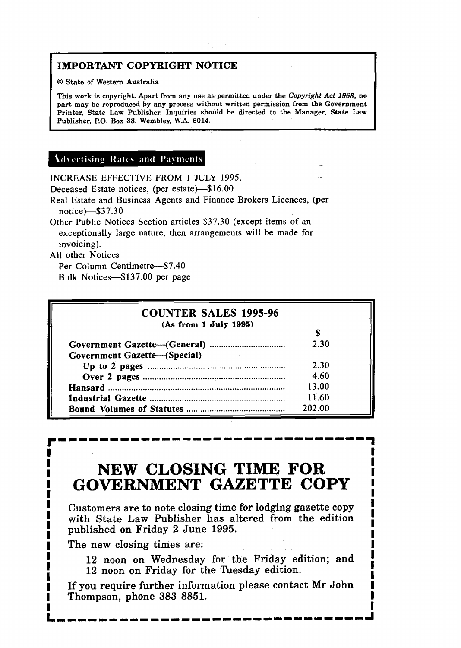#### <sup>1</sup>**IMPORTANT COPYRIGHT NOTICE**

1 @ **State of Western Australia** 

**This work is copyright. Apart from any use as permitted under the** *Copyright* **Act 1968, no part may be reproduced by any process without written permission from the Government Printer, State Law Publisher. Inquiries should be directed to the Manager, State Law Publisher, P.O. Box 38, Wembley, W.A. 6014.** 

#### **Advertising Rates and Payments**

INCREASE EFFECTIVE FROM 1 JULY 1995.

Deceased Estate notices, (per estate)-\$16.00

Real Estate and Business Agents and Finance Brokers Licences, (per notice)-\$37.30

Other Public Notices Section articles \$37.30 (except items of an exceptionally large nature, then arrangements will be made for invoicing).

All other Notices

Per Column Centimetre-\$7.40 Bulk Notices-\$137.00 per page

| <b>COUNTER SALES 1995-96</b>                                                                                                                               |        |
|------------------------------------------------------------------------------------------------------------------------------------------------------------|--------|
| (As from 1 July 1995)                                                                                                                                      |        |
|                                                                                                                                                            |        |
|                                                                                                                                                            | 2.30   |
| <b>Government Gazette-(Special)</b><br>$\mathcal{L}^{\mathcal{L}}(\mathcal{L}^{\mathcal{L}})$ , and $\mathcal{L}^{\mathcal{L}}(\mathcal{L}^{\mathcal{L}})$ |        |
|                                                                                                                                                            | 2.30   |
|                                                                                                                                                            | 4.60   |
|                                                                                                                                                            | 13.00  |
|                                                                                                                                                            | 11.60  |
|                                                                                                                                                            | 202.00 |

## **NEW CLOSING TIME FOR**  ! **GOVERNMENT GAZETTE COPY**

Customers are to note closing time for lodging gazette **copy**  with State **Law** Publisher has altered from the edition published on Friday 2 June 1995.

**The** new closing times are:

12 noon on Wednesday for the Friday edition; and 12 noon on Friday for the Tuesday edition.

If you require further information please contact Mr **John**  Thompson, phone **383** 8851.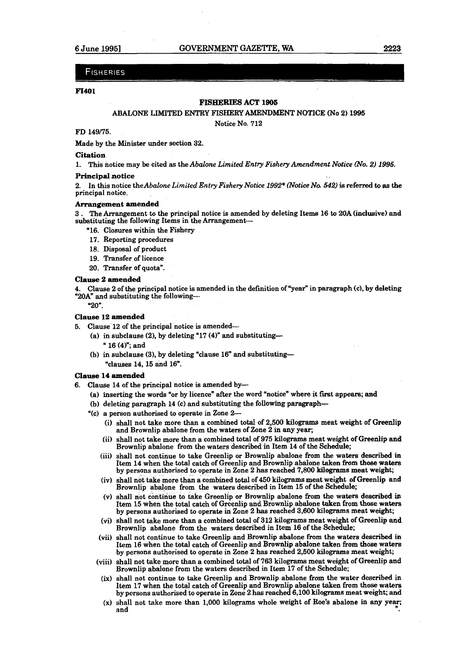#### **FISHERIES**

#### **F1401**

#### **FISHERIES ACT 1906**

#### ABALONE **LIMITED** ENTRY FISHERY **MNJIMENT** NOTICE (No **2) 1995**

Notice No. **712** 

#### FD 149/75.

Made by the Minister under section 32.

#### **Citation**

**1.** This notice may be cited as the Abalone *Limited Entry Fishery Amendment-Notice WO.* **2)** *1995.* 

#### **Principal notice**

**2.** In this notice theAbalone *Limited Entry Fishery Notice 1992\* (Notice No.* **542)** is referxed to as the principal notice.

#### **Arrangement amended**

3 . The Arrangement to the principal notice is amended by deleting Items **16 to 20A** (inclusive) **and**  substituting the following Items in the Arrangement-

- "16. Closures within the Fishery
- **17.** Reporting procedures
- 18. Disposal of product
- **19.** Transfer of licence
- **20.** Transfer of quota".

#### **Clause 2 amended**

**4.** Clause **2** of the principal notice is amended in the definition of "year" in paragraph (c), **by** deleting "20A" and substituting the following-

**"20".** 

#### **Clause 12 amended**

- **5.** Clause 12 of the principal notice is amended-
	- (a) in subclause (2), by deleting "17 (4)" and substituting--" 16 (4)"; and
	- (b) in subclause (3), by deleting "clause  $16$ " and substituting--"clauses **14, 15** and 16".

#### **Clause 14 amended**

- **6.** Clause 14 of the principal notice is amended by-
	- (a) inserting the words "or by licence" after the word "notice" where it first appears; **and**
	- (b) deleting paragraph **14** (c) and substituting the following paragraph-
	- **"(c)** a person authorised to operate in Zone 2-
		- (i) shall not take more than a combined **total** of **2,500** kilograms meat weight of **Greenlip**  and Brownlip abalone from the waters of Zone **2** in any year;
		- (ii) shall not take more than a combined total of 975 kilograms meat weight of **Greenlip** and Brownlip abalone from the waters described **in** Item 14 of the Schedule;
		- (iii) shall not continue to take Greenlip or Brownlip abalone **from** the waters described in Item 14 when the total catch of Greenlip and Brownlip abalone taken from those waters by persons authorised to operate in Zone **2** has reached **7,800 kilograms** meat weight;
		- (iv) shall not take more than a combined total of **450** kilograms meat weight of Greenlip and Brownlip abalone from the waters described in Item **15** of the Schedule;
		- (V) shall not continue to take Greenlip or Browdip abalone from the waters described in Item **15** when the total catch of Greenlip and Brownlip abalone taken from those waters by persons authorised to operate in Zone 2 has reached **3,600** kilograms meat **weight;**
		- **(vi)** shall not take more than a combined total of 312 kilograms meat weight of Greenlip and Brownlip abalone from the waters described in Item 16 of the Schedule;
		- (vii) shall not continue to **take** Greenlip and Brownlip abalone from the waters described in Item 16 when the total catch of Greenlip and Brownlip abalone taken from those waters by persons authorised to operate in Zone **2** has reached **2,500** kilograms meat weight;
		- (viii) shall not take more than a combined total of 763 kilograms meat weight of **Greenlip** and Brownlip abalone from the waters described in Item **17** of the Schedule;
		- **(ix)** shall not continue to take Greenlip and Brownlip abalone from the water described in Item 17 when the total catch of Greenlip and **Brownlip** abalone taken from those waters by persons authorised to operate in Zone 2 has xeached **6,100 kilograms** meat weight; and
		- **(X)** shall not take more than 1,000 kilograms whole weight of **Roe's** abalone in **any year;**  and **<sup>n</sup>**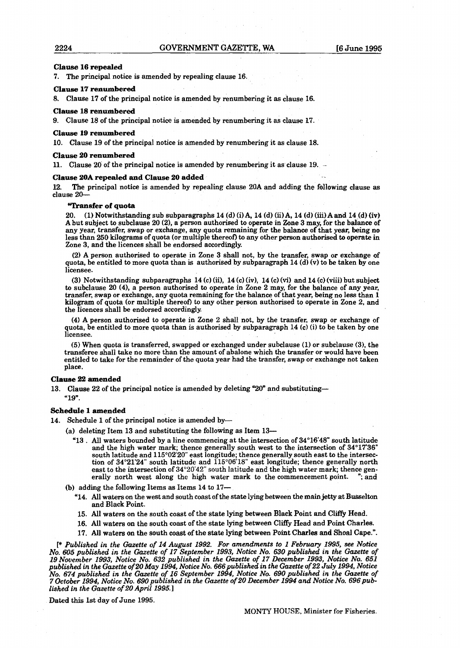#### **Clause l6 repealed**

**7.** The principal notice **is** amended by repealing clause 16.

#### **Clause** 17 **renumbered**

**8.** Clause 17 of the principal notice is amended by renumbering it as clause 16.

#### **Clause l8 renumbered**

9. Clause 18 of the principal notice is amended by renumbering it as clause 17.

#### **Clause IS renumbered**

10. Clause 19 of the principal notice is amended by renumbering it as clause 18.

#### **Clause 20 renumbered**

11. Clause 20 of the principal notice is amended by renumbering it as clause 19. -

#### **Clause 20A repealed and Clause 20 added** . -

**12.** The principal notice is amended by repealing clause 20A and adding the following clause **as**  clause **20-** 

#### **'Transfer of quota**

20. (1) Notwithstanding sub subparagraphs 14 (d) (i) A, 14 **(d)** (ii)A, 14 (d) **(iii)Aand** 14 (d) (iv) A but subject to subclause 20 (21, a person authorised to operate in **Zone** 3 may, for the **balance** of any year, transfer, swap or exchange, any quota remaining for the **balance** of that year, **being** no less than 250 kilograms of quota (or multiple thereof) to any other person authorised to operate in Zone 3, and the licences shall be endorsed accordingly.

(2) A person authorised to operate in Zone 3 shall not, by the transfer, swap or exchange of quota, be entitled to more quota than is authorised by subparagraph 14 (d) (v) to be taken by one licensee.

(3) Notwithstanding subparagraphs 14 (c) (3, 14 (c) (iv), 14 (c) **(vi)** and 14 (c) (viii) but subject to subclause 20 (41, a person authorised to operate in Zone 2 may, for the balance of any year, transfer, swap or exchange, any quota remaining for the balance of that year, being no less than 1 kilogram of quota (or multiple thereof) to any other person authorised to operate in Zone 2, **and**  the licences shall be endorsed accordingly.

(4) A person authorised to operate in Zone 2 shall not, by the transfer, swap or exchange of quota, be entitled to more quota than is authorised by subparagraph 14 (c) **(i)** to be taken by one licensee.

(5) When quota is transferred, swapped or exchanged under subclause (1) or subclause (31, the transferee shall take no more than the amount of abalone which the transfer or would **have** been entitled to take for the remainder of the quota year had the transfer, swap or exchange not taken place.

#### **Clause 22 amended**

13. Clause **22** of the principal notice is amended by deleting "20" and substituting-

"19".

#### **Schedule 1 amended**

14. Schedule 1 of the principal notice is amended by-

(a) deleting Item 13 and substituting the following as Item 13-

'13 . All waters bounded by a line commencing at the intersection of 34'16'48" south latitude and the high water mark; thence generally south west to the intersection of 34'17'36" south latitude and  $115^{\circ}02'20"$  east longitude; thence generally south east to the intersection of  $34^{\circ}21'24''$  south latitude and  $115^{\circ}06'18''$  east longitude; thence generally north east to the intersection of 34'20'42" south latitude and the high water mark; thence generally north west along the high water mark to the commencement point. "; and

(b) adding the following Items as Items 14 to **17-** 

- '14. All waters on the west and south coast of the state lying between the **main** jetty at Busselton and Black Point,
- 15. All waters on the south coast of the state lying between Black Point and Cliffy Head.
- 16. All waters on the south coast of the state lying between Cliffy Head and Point Charles.
- 17. **All** waters on the south coast of the **state** lying between Point **Charles** and Shoal Cape.".

[\* *Published in the Gazette of 14 August 1992. For amendments to l February 1995, see Notice No. 605 published in the Gazette of 17 September 1993, Notice No. 630 published in the Gazette of l9 November 1993, Notice No. 632 published in the Gazette of 17 December 1993, Notice No. 651 published in the hette of 20* **May** *1994, Notice No. 666published in the Gazette of 22 July 1994, Notice No. 674 published irt the Gazette of 16 September 1994, Notice No. 690 published in the Gazette of 7October 1994, Notice No. 690published in the Gazette of 20 December* **1994** *and Notice No. 696published* **in** *the Gazette of 20 April 1995.* **<sup>l</sup>**

**Dated** this 1st day of June 1995.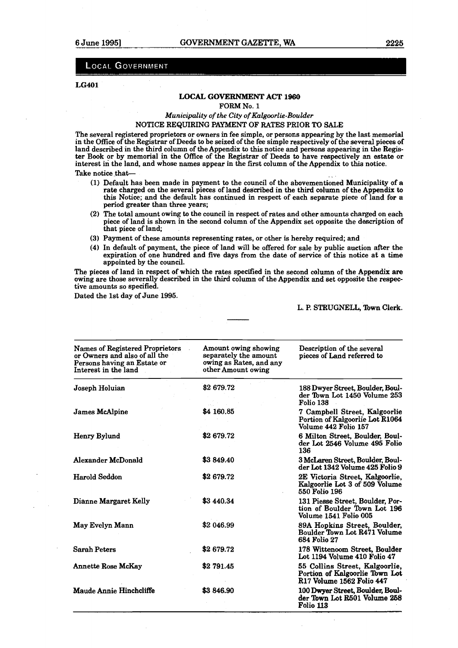#### **LOCAL GOVERNMENT**

#### **LG401**

#### **LOCAL GOVERNMENT ACT 1960**

**FORM** No. **1** 

#### *Municipality* of *the City of Kalgoorlie-Boulder*  NOTICE REQUIRING **PAYMENT** OF **RATES** PRIOR TO **SALE**

The several registered proprietors or owners in fee simple, or persons appearing by the last memorial in the Office of the Registrar of Deeds to be seized of the fee simple respectively of the several pieces of land described in the third column of the Appendix to this notice and persons appearing in the **Regis**ter **Book** or by memorial in the Omce of the Registrar of Deeds to have respectively **an estate** or interest in the land, and whose names appear in the first column of the Appendix to this notice.<br>Take notice that—

- **(1)** Default has been made in payment to the council of the abovementioned Municipality of a rate charged on the several pieces of land described in the third column of the Appendix to this Notice; and the default has continued in respect of each separate piece of land for a period greater than three years;
- **(2)** The total amount owing to the council in respect of rates **and** other amounts charged on each piece of land is shown in the second column of the Appendix set opposite the description of that piece of land;
- **(3)** Payment of these amounts representing rates, or other is hereby required; and
- **(4)** In default of payment, the piece of land will be offered for sale by public auction after the expiration of one hundred and five days from the date of service of this notice at a time appointed by the council.

The pieces of land in respect of which the rates specified in the second column of the Appendix are owing are those severally described in the third column of the Appendix and set opposite the respective amounts so specified.

Dated the 1st day of June **1995.** 

#### L. P. STRUGNELL, **nwn** Clerk.

| <b>Names of Registered Proprietors</b><br>or Owners and also of all the<br>Persons having an Estate or<br>Interest in the land | Amount owing showing<br>separately the amount<br>owing as Rates, and any<br>other Amount owing | Description of the several<br>pieces of Land referred to                                      |
|--------------------------------------------------------------------------------------------------------------------------------|------------------------------------------------------------------------------------------------|-----------------------------------------------------------------------------------------------|
| Joseph Holuian                                                                                                                 | \$2679.72                                                                                      | 188 Dwyer Street. Boulder. Boul-<br>der Town Lot 1450 Volume 253<br>Folio 138                 |
| <b>James McAlpine</b>                                                                                                          | \$4 160.85                                                                                     | 7 Campbell Street, Kalgoorlie<br>Portion of Kalgoorlie Lot R1064<br>Volume 442 Folio 157      |
| Henry Bylund                                                                                                                   | \$2679.72                                                                                      | 6 Milton Street, Boulder, Boul-<br>der Lot 2546 Volume 495 Folio<br>136                       |
| Alexander McDonald                                                                                                             | \$3849.40                                                                                      | 3 McLaren Street, Boulder, Boul-<br>der Lot 1342 Volume 425 Folio 9                           |
| Harold Seddon                                                                                                                  | \$2679.72                                                                                      | 2E Victoria Street, Kalgoorlie,<br>Kalgoorlie Lot 3 of 509 Volume<br>550 Folio 196            |
| Dianne Margaret Kelly                                                                                                          | \$3 440.34                                                                                     | 131 Piesse Street, Boulder, Por-<br>tion of Boulder Town Lot 196<br>Volume 1541 Folio 005     |
| May Evelyn Mann                                                                                                                | \$2 046.99                                                                                     | 89A Hopkins Street, Boulder,<br>Boulder Town Lot R471 Volume<br>684 Folio 27                  |
| <b>Sarah Peters</b>                                                                                                            | \$2679.72                                                                                      | 178 Wittencom Street, Boulder<br>Lot 1194 Volume 410 Folio 47                                 |
| <b>Annette Rose McKay</b>                                                                                                      | \$2 791.45                                                                                     | 55 Collins Street, Kalgoorlie,<br>Portion of Kalgoorlie Town Lot<br>R17 Volume 1562 Folio 447 |
| Maude Annie Hinchcliffe                                                                                                        | \$3846.90                                                                                      | 100 Dwyer Street, Boulder, Boul-<br>der Town Lot R501 Volume 258<br><b>Folio 113</b>          |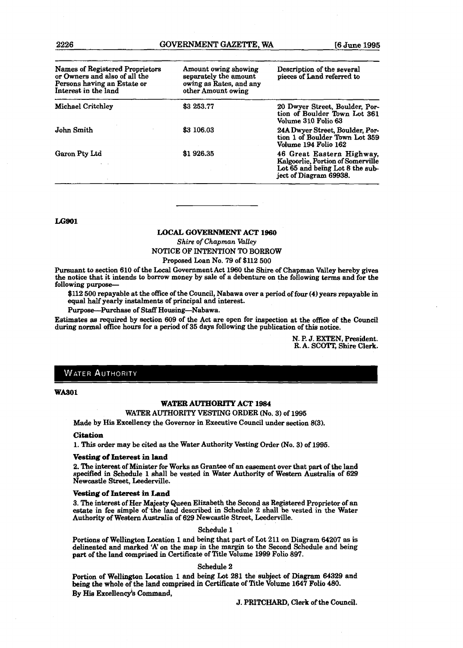| Names of Registered Proprietors<br>or Owners and also of all the<br>Persons having an Estate or<br>Interest in the land | Amount owing showing<br>separately the amount<br>owing as Rates, and any<br>other Amount owing | Description of the several<br>pieces of Land referred to                                                                    |
|-------------------------------------------------------------------------------------------------------------------------|------------------------------------------------------------------------------------------------|-----------------------------------------------------------------------------------------------------------------------------|
| <b>Michael Critchley</b>                                                                                                | \$3 253.77                                                                                     | 20 Dwyer Street, Boulder, Por-<br>tion of Boulder Town Lot 361<br>Volume 310 Folio 63                                       |
| John Smith                                                                                                              | \$3 106.03                                                                                     | 24A Dwyer Street, Boulder, Por-<br>tion 1 of Boulder Town Lot 359<br>Volume 194 Folio 162                                   |
| Garon Pty Ltd                                                                                                           | \$1926.35                                                                                      | 46 Great Eastern Highway,<br>Kalgoorlie, Portion of Somerville<br>Lot 65 and being Lot 8 the sub-<br>ject of Diagram 69938. |

**LG901** 

#### **LOCAL GOVERNMENT ACT 1960**

*Shire of Chapman Valley* 

#### NOTICE OF **INTENTION** TO BORROW

Proposed Loan No. **79** of **\$112 500**  Pursuant **to** section **610** of the **Local** Government Act **1960** the Shire of Chapman Valley hereby gives

the notice that it intends to borrow money by sale of a debenture on the following terms and for the following purpose-

\$112 500 repayable at the ofice of the Council, Nabawa over a period of four (4) years repayable in equal half yearly instalments of principal and interest.

Purpo8e-Purchase of Staff Housing-Nabawa.

**Estimates** as required by section **609** of the Act are open for inspection at the office of the Cound during normal office hours for a period of 35 days following the publication of **this** notice.

> N. P. J. EXTEN, President. R. A. **SCOTT, Shire Clerk.**

#### **WATER AUTHORITY**

**WA301** 

#### **WATER AUTHORITY ACT 1984**

#### WATER AUTHORITY VESTING ORDER (No. **3)** of **1995**

Made by His Excellency the Governor in Executive Council under section **8(3).** 

#### **Citation**

**1. This** order may be cited **as** the Water Authority Vesting Order (No. 3) of **1995.** 

#### **Vesting of Interest in land**

**2. The** interest of Minister for Works **as** Grantee of **an** easement over that part of the **land**  specified hi Schedule **1** shall be vested in Water Authority of Weatern Australia of 629 Newcaetle Street, Leederville.

#### **Ve8ting of Interest in Land**

3. The interest of Her Majesty Queen Elizabeth the Second as Registered Proprietor of an estate in fee simple of the land described in Schedule 2 shall be vested in the Water Authority of Western Australia of **629** Newcastle Street, Leederville.

#### Schedule **1**

Portions of Wellington Location 1 and being that part of Lot 211 on Diagram 64207 as is delineated and marked 'A' on the **map** in the **margin** to the Second Schedule and being **patt** of the land comprised in Certificate of Title Volume **1999** Folio 897.

#### Schedule 2

Portion of Wellington Location 1 and being Lot 281 the subject of Diagram 64329 and being the whole of the land comprised in **Certificate** of Title Volume **1647 Folio 480.**  By **Hie** Excellency'8 **Command,** 

J. **PRXTCHARD,** Clerk of the **Council.**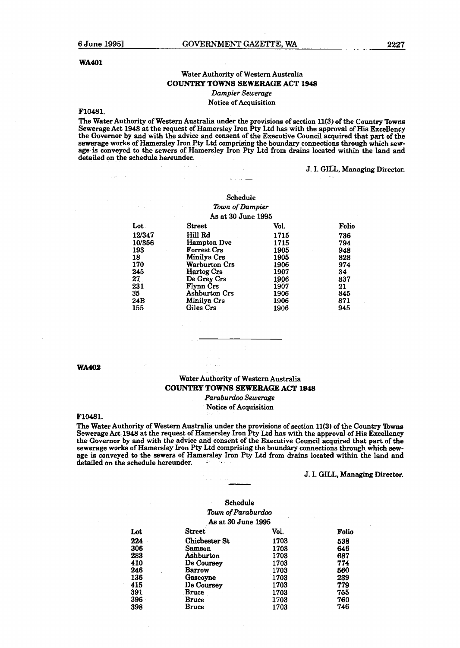#### **WA401**

#### Water Authority of Western Australia **COUNTRY TOWNS SEWERAGE ACT 1948**

*Dumpier Sewerage* 

#### Notice of Acquisition

#### **F10481.**

The Water Authority of Western Australia under the provisions of section 11(3) of the Country Towns Sewerage Act **1948** at the request of Hamersley Iron Pty **Ltd has** with the approval of His Excellency the Governor by and with the advice and consent of the Executive Council acquired that part of the sewerage works of Hamersley Iron Pty **Ltd** comprising the boundary connections through which sew-age is conveyed to the sewers of Hamersley Iron Pty Ltd from drains located within the land **and**  detailed on the schedule hereunder.

#### J. I. GILL, **Managing** Director.

#### Schedule *lbwn of Dumpier As* at **30** June **1995**

| Lot    | Street               | Vol. | Folio |
|--------|----------------------|------|-------|
| 12/347 | Hill Rd              | 1715 | 736   |
| 10/356 | <b>Hampton Dve</b>   | 1715 | 794   |
| 193    | <b>Forrest Crs</b>   | 1905 | 948   |
| 18     | Minilya Crs          | 1905 | 828   |
| 170    | Warburton Crs        | 1906 | 974   |
| 245    | Hartog Crs           | 1907 | 34    |
| 27     | De Grey Crs          | 1906 | 837   |
| 231    | Flynn Crs            | 1907 | 21    |
| 35     | <b>Ashburton Crs</b> | 1906 | 845   |
| 24B    | Minilya Crs          | 1906 | 871   |
| 155    | Giles Crs            | 1906 | 945   |

**WA402** 

#### Water Authority of Western Australia **COUNTRY TOWNS SEWERAGE ACT 1948**

*Pambutdoo Sewerage*  Notice of Acquisition

#### **F10481.**

The Water Authority of Western Australia under the provisions of section **11(3)** of the Country lbwns Sewerage Act **1948** at the request of Hamersley Iron Pty Ltd has with the approval of **His** Excellency the Governor by and with the advice and consent of the Executive Council acquired that part of the sewerage works of Hamersley Iron Pty **Ltd** comprising the boundary connections through which sewage is conveyed **to** the sewers of Hamersley Iron Pty **Ltd** from **drains** located within the land and detailed on the schedule hereunder.

#### **3.** I. **GILL, Managing Director.**

|     | Schedule             |      |       |
|-----|----------------------|------|-------|
|     | Town of Paraburdoo   |      |       |
|     | As at 30 June 1995   |      |       |
| Lot | Street               | Vol. | Folio |
| 224 | <b>Chichester St</b> | 1703 | 538   |
| 306 | Samson               | 1703 | 646   |
| 283 | Ashburton            | 1703 | 687   |
| 410 | De Coursey           | 1703 | 774   |
| 246 | <b>Barrow</b>        | 1703 | 560   |
| 136 | Gascoyne             | 1703 | 239   |
| 415 | De Coursey           | 1703 | 779   |
| 391 | <b>Bruce</b>         | 1703 | 755   |
| 396 | <b>Bruce</b>         | 1703 | 760   |
| 398 | Bruce                | 1703 | 746   |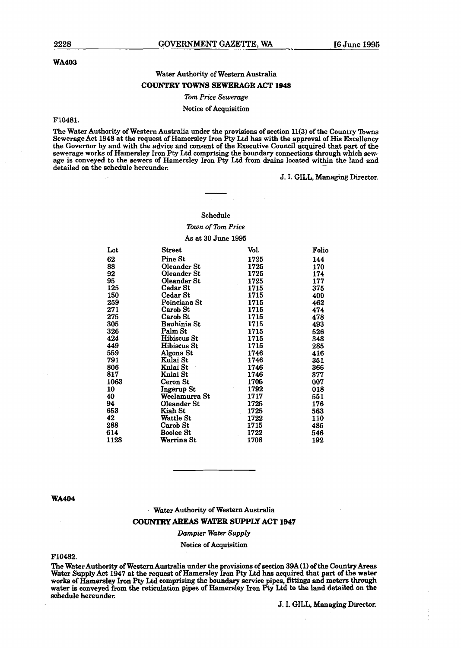#### **WA403**

#### Water Authority of Western Australia **COUNTRY TOWNS SEWERAGE ACT 1948**

#### *lbm Price Sewerage*

#### Notice of Acquisition

#### F10481.

The Water Authority of Western Australia under the provisions of section ll(3) of the Country **Towns**  Sewerage Act 1948 at the request of Hamersley Iron F%y **Ltd has** with the approval of **His** Excellency the Governor by and with the advice and consent of the Executive Council acquired that part of **the**  sewerage works of Hamersley Iron Pty Ltd comprising the boundary connections through which **sew**age is conveyed to the sewers of Hamersley Iron Pty **Ltd from drains** located within the land and detailed on the schedule hereunder.

#### J. I. **GILL, Managing** Director.

#### Schedule

#### *lbwn* **of** *lbm Price*  As at 30 June 1995

| Lot  | Street        | Vol. | Folio |
|------|---------------|------|-------|
| 62   | Pine St       | 1725 | 144   |
| 88   | Oleander St   | 1725 | 170   |
| 92   | Oleander St   | 1725 | 174   |
| 95   | Oleander St   | 1725 | 177   |
| 125  | Cedar St      | 1715 | 375   |
| 150  | Cedar St      | 1715 | 400   |
| 259  | Poinciana St  | 1715 | 462   |
| 271  | Carob St      | 1715 | 474   |
| 275  | Carob St      | 1715 | 478   |
| 305  | Bauhinia St   | 1715 | 493   |
| 326  | Palm St       | 1715 | 526   |
| 424  | Hibiscus St   | 1715 | 348   |
| 449  | Hibiscus St   | 1715 | 285   |
| 559  | Algona St     | 1746 | 416   |
| 791  | Kulai St      | 1746 | 351   |
| 806  | Kulai St      | 1746 | 366   |
| 817  | Kulai St      | 1746 | 377   |
| 1063 | Ceron St      | 1705 | 007   |
| 10   | Ingerup St    | 1792 | 018   |
| 40   | Weelamurra St | 1717 | 551   |
| 94   | Oleander St   | 1725 | 176   |
| 653  | Kiah St       | 1725 | 563   |
| 42   | Wattle St     | 1722 | 110   |
| 288  | Carob St      | 1715 | 485   |
| 614  | Boolee St     | 1722 | 546   |
| 1128 | Warrina St    | 1708 | 192   |

#### **WA404**

#### Water Authority of Western Australia

#### **COUNTRY** AaEAS **WATEIL SUPPLY ACT 1947**

#### *Dampier Water Supply*

#### Notice of Acquisition

#### F10482.

The Water Authority of Western Australia under the provisions of section 39A(1) of the Country Areas<br>Water Supply Act 1947 at the request of Hamersley Iron Pty Ltd has acquired that part of the water worb of Hamersley Iron **Pty Ltd** comprising the boundary service pipes, fittings and meters **through water** is conveyed **from** the reticulation pipes of **Hamemley Ion Pty Ltd** to **the** land detailed on the schedule hereunder.

**J.** I. **GIU, Managing** Director.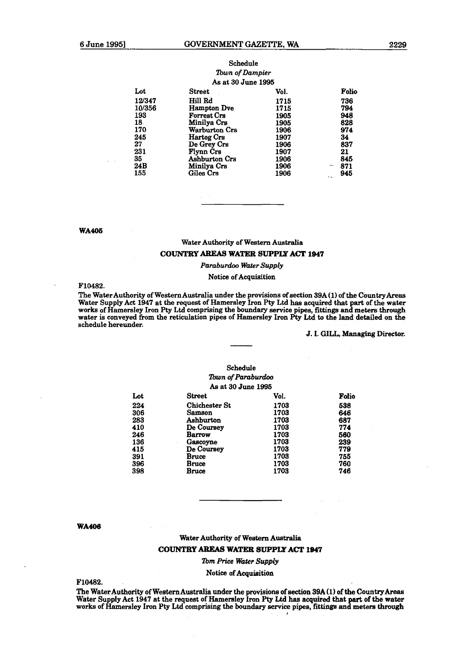| <b>Street</b>        | Vol.        | Folio                                 |
|----------------------|-------------|---------------------------------------|
| Hill Rd              | 1715        | 736                                   |
| <b>Hampton Dve</b>   | 1715        | 794                                   |
| <b>Forrest Crs</b>   | 1905        | 948                                   |
| Minilya Crs          | 1905        | 828                                   |
| Warburton Crs        | 1906        | 974                                   |
| Hartog Crs           | 1907        | 34                                    |
|                      | 1906        | 837                                   |
| Flynn Crs            | 1907        | 21                                    |
| <b>Ashburton Crs</b> | 1906        | 845                                   |
| Minilya Crs          | 1906        | 871<br>--                             |
| Giles Crs            | 1906        | 945<br>المتعاملة                      |
|                      | De Grey Crs | Town of Dampier<br>As at 30 June 1995 |

#### Schedule *lbwn* of *Dumpier*

#### **WA405**

#### Water Authority of Western Australia

#### **COUNTRY** AREAS **WATER SUPPIX ACT 1947**

#### *Paraburdoo* **Water** *Supply*

#### Notice of Acquisition

#### **F10482.**

The WaterAuthority of Western Australia under the provisions of section **39A (1)** of the **CountryAreas**  Water Supply Act **1947** at the request of Hamersley Iron Pty **Ltd** has acquired that **part** of **the** water works of Hamersley Iron Pty **Ltd** comprising the boundary **service** pipes, fittings **and** meters through water is conveyed from the reticulation pipes of Hamersley Iron **Pty Ltd** to the land detailed on the schedule hereunder.

#### 3. I. GILL, **Managing** Director.

#### Schedule *'Ibwn* **of** *Pamburdoo*  As at **30** June **1996**

| Lot | <b>Street</b>        | Vol. | Folio |
|-----|----------------------|------|-------|
| 224 | <b>Chichester St</b> | 1703 | 538   |
| 306 | Samson               | 1703 | 646   |
| 283 | Ashburton            | 1703 | 687   |
| 410 | De Coursey           | 1703 | 774   |
| 246 | <b>Barrow</b>        | 1703 | 560   |
| 136 | Gascoyne             | 1703 | 239   |
| 415 | De Coursey           | 1703 | 779   |
| 391 | Bruce                | 1703 | 755   |
| 396 | Bruce                | 1703 | 760   |
| 398 | Bruce                | 1703 | 746   |

#### **WA406**

#### Water Authority of Western Australie

#### **COUNTRY** AREAS **WATER** *8UPPJ.X* **ACT 1947**

#### *lbm Price Water Supply*

#### Notice of Acquisition

**F10482.** 

The Water Authority of **Western** Australia under the provisions of section 39A **(1)** of the CountryArem Water Supply Act 1947 at the request of Hamersley Iron Pty Ltd has acquired that part of the water<br>works of Hamersley Iron Pty Ltd comprising the boundary service pipes, fittings and meters through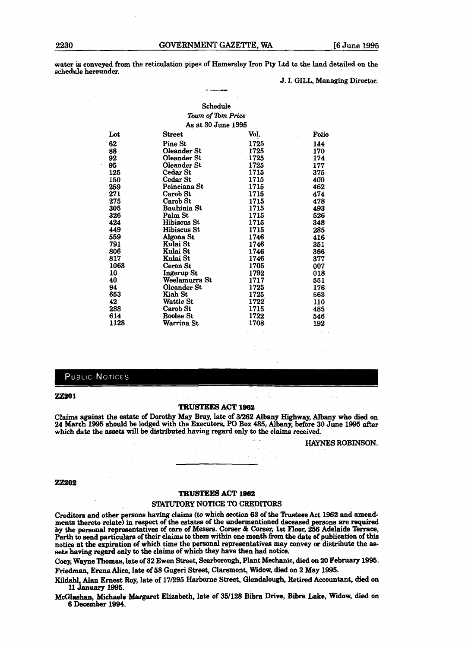**water is** conveyed from the reticulation pipes of Hamersley Iron Pty Ltd to the land detailed on the schedule hereunder.

#### J. I. **GILL, Managing Director.**

#### Schedule *lbwn* **of** *lbm* Price As at 30 **June 1995**

| Lot        | Street           | Vol.  | Folio |
|------------|------------------|-------|-------|
| 62         | Pine St          | 1725  | 144   |
| 88         | Oleander St      | 1725  | 170   |
| 92         | Oleander St      | -1725 | 174   |
| 95         | Oleander St      | 1725  | 177   |
| 125        | Cedar St         | 1715  | 375   |
| <b>150</b> | Cedar St         | 1715. | 400   |
| 259        | Poinciana St     | 1715  | 462   |
| 271        | Carob St         | 1715  | 474   |
| 275        | Carob St         | 1715  | 478   |
| 305        | Bauhinia St      | 1715  | 493   |
| 326        | Palm St          | 1715  | 526   |
| 424        | Hibiscus St      | 1715  | 348   |
| 449        | Hibiscus St      | 1715  | 285   |
| 559        | Algona St        | 1746  | 416   |
| 791        | Kulai St         | 1746  | 351   |
| 806        | Kulai St         | 1746  | 366   |
| 817        | Kulai St         | 1746  | 377   |
| 1063       | Ceron St         | 1705  | 007   |
| 10         | Ingerup St       | 1792  | 018   |
| 40         | Weelamurra St    | 1717  | 551   |
| 94         | Oleander St      | 1725  | 176   |
| 653        | Kiah St          | 1725  | 563   |
| 42         | Wattle St        | 1722  | 110   |
| 288        | Carob St         | 1715  | 485   |
| 614        | <b>Boolee St</b> | 1722  | 546   |
| 1128       | Warrina St       | 1708  | 192   |
|            |                  |       |       |

#### PUBLIC NOTICES

#### **ZZW)1**

#### **TRUSTEES ACT 1982**

Claims against the estate of Dorothy May **Bray,** late of **31262** Albany Highway, Albany who died on **24** March **1W** should **be** lodged with the Executors, PO Box **485,** Albany, before **30** June **1995** after which **date** the **assets** will be distributed having regard only to the claims **received.** 

 $\alpha$  -  $\alpha$  -  $\alpha$ 

**HAYNES ROBINSON.** 

#### **22202**

#### **TRUSTEES ACT 1962**

#### **STATUTORY NOTICE** TO CREDITORS

Creditors and other persons having claims (to which section 63 of the Trustees Act 1962 and amendments **thereto** relate) in respect of the estates of the undexmentioned deceased **persons** are required by the personal representatives of care of Messrs. Corser & Corser, 1st Floor, 256 Adelaide Terrace, Perth to end particulars of their claims to **them within** one month **from** the date of publication **of** this **notice** at the expiration of which time the personal representatives may convey or distribute the **assets having** regard only to the claims of which they **have** then had notice,

Coey, Wayne Thornas, late of **92** Ewen **Street,** Scarborough, Plant Mechanic, died on 20 **February** 1995. **Friedman, Erena** Alice, late of **S8** Gugeri **Street,** Claremont, **died** on 2 May 1995.

Kildahl, Alan Ernest Roy, late of 17/295 Harborne Street, Glendalough, Retired Accountant, died on **11 January 1995.** 

McGlashan, Mchaele Margaret Elizabeth, late **of 36/128** Bibra **Drive, Bibra Lake,** Widow, **died** on **6 December 1994.**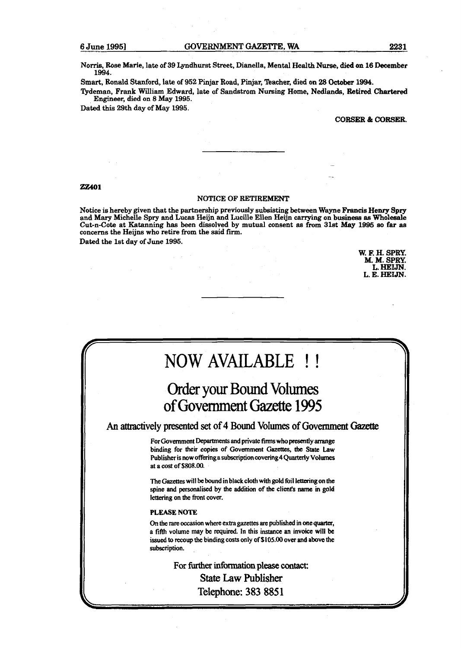Norris, Rose Marie, late of 39 Lpdhurst Street, Dianella, **Mental** Health **Nurse, died on 16 December**  1994.

Smart, Ronald Stanford, late of 952 Pinjar Road, Pinjar, Teacher, died on 28 October 1994.

Qdeman, Frank William Edward, late of **Sandstrom** Nursing Home, **NedIands,** Retired Chartered Engineer, died on 8 May 1995.

Dated this 29th day of May 1995.

**CORSER & CORSER.** 

#### **ZZ401**

#### **NOTICE OF RETIREMENT**

Notice is hereby given that the partnership previously subsisting **between Wayne** Francis **Henry** Spry and Mary Michelle Spry and Lucas Heijn and Lucille EHen Heijn **carrying** on **business as Wholesale**  Cut-n-Cote at Katanning has been dissolved by mutual consent as from 31st **May** 1995 **so** far **as**  concerns the Heijns who retire from the said firm.

Dated the 1st day of June 1995.

**W. F. H. SPRY. M. M. SPRY.**  L. **HELJN**. **L. E. HEIJN.** 

## NOW AVAILABLE !!

## Order your Bound Volumes of Government Gazette 1995

**An** attractively presented **set** of 4 Bound VoIumes of **Government** Gazette

For Government Departments and private **firms** who presently **arrange**  binding for their copies of Government **Gazettes,** the **State Law**  Publisher **is** now offering a subscription **covering4 Quarteriy Vdumes**  at a **cost** of **\$808.00.** 

The **Gazettes** will be bound in black cloth with gold foil lettering on the spine and personalised by the addition of the client's **name** in **gold**  lettering on the front cover.

#### **PLEASE NOTE**

On the rare occasion where **extra gazettes m** published in one **quarter,**  a fifth volume **may** be required. In this **instance** an invoice will **be**  issued to recoup the binding costs only of S **105.00** over and **above the**  subscription.

> **For further information please** contact: **State Law Publisher Telephone: 383 885 1**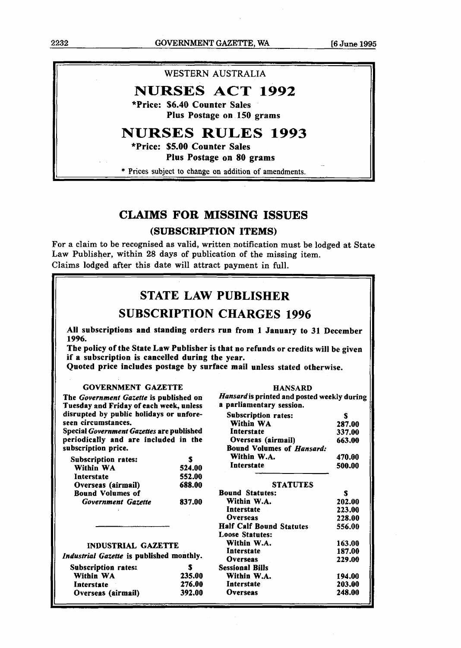**2232 GOVERNMENT GAZETTE, WA [6 June 1995** 

#### **WESTERN AUSTRALIA**

### **NURSES ACT 1992**

**\*Price: \$6.40 Counter Sales Plus Postage on 150 grams** 

## **NURSES RULES 1993**

**\*Price: \$5.00 Counter Sales** 

**Plus Postage on 80 grams** 

\* Prices subject to change on addition of amendments.

#### **CLAIMS FOR MISSING ISSUES**

#### **(SUBSCRIPTION ITEMS)**

For a claim to be recognised as valid, written notification must be lodged at State Law Publisher, within 28 days of publication of the missing item. Claims lodged after this date will attract payment in full.

|                                                                                   |        | <b>STATE LAW PUBLISHER</b>                                                        |        |
|-----------------------------------------------------------------------------------|--------|-----------------------------------------------------------------------------------|--------|
|                                                                                   |        |                                                                                   |        |
|                                                                                   |        | <b>SUBSCRIPTION CHARGES 1996</b>                                                  |        |
| 1996.                                                                             |        | All subscriptions and standing orders run from 1 January to 31 December           |        |
|                                                                                   |        | The policy of the State Law Publisher is that no refunds or credits will be given |        |
| if a subscription is cancelled during the year.                                   |        |                                                                                   |        |
|                                                                                   |        | Ouoted price includes postage by surface mail unless stated otherwise.            |        |
|                                                                                   |        |                                                                                   |        |
| <b>GOVERNMENT GAZETTE</b>                                                         |        | <b>HANSARD</b>                                                                    |        |
| The Government Gazette is published on<br>Tuesday and Friday of each week, unless |        | Hansard is printed and posted weekly during<br>a parliamentary session.           |        |
| disrupted by public holidays or unfore-                                           |        | <b>Subscription rates:</b>                                                        | \$     |
| seen circumstances.                                                               |        | Within WA                                                                         | 287.00 |
| Special Government Gazettes are published                                         |        | Interstate                                                                        | 337.00 |
| periodically and are included in the                                              |        | Overseas (airmail)                                                                | 663.00 |
| subscription price.                                                               |        | <b>Bound Volumes of Hansard:</b>                                                  |        |
| <b>Subscription rates:</b>                                                        | S      | Within W.A.                                                                       | 470.00 |
| Within WA                                                                         | 524.00 | Interstate                                                                        | 500.00 |
| Interstate                                                                        | 552.00 |                                                                                   |        |
| Overseas (airmail)                                                                | 688.00 | <b>STATUTES</b>                                                                   |        |
| <b>Bound Volumes of</b>                                                           |        | <b>Bound Statutes:</b>                                                            | S      |
| <b>Government Gazette</b>                                                         | 837.00 | Within W.A.                                                                       | 202.00 |
|                                                                                   |        | Interstate                                                                        | 223.00 |
|                                                                                   |        | <b>Overseas</b>                                                                   | 228.00 |
|                                                                                   |        | <b>Half Calf Bound Statutes</b>                                                   | 556.00 |
|                                                                                   |        | <b>Loose Statutes:</b>                                                            |        |
| <b>INDUSTRIAL GAZETTE</b>                                                         |        | Within W.A.                                                                       | 163.00 |
|                                                                                   |        | Interstate                                                                        | 187.00 |
| Industrial Gazette is published monthly.                                          |        | <b>Overseas</b>                                                                   | 229.00 |
| <b>Subscription rates:</b>                                                        | S      | <b>Sessional Bills</b>                                                            |        |
| Within WA                                                                         | 235.00 | Within W.A.                                                                       | 194.00 |
| Interstate                                                                        | 276.00 | Interstate                                                                        | 203.00 |
| Overseas (airmail)                                                                | 392.00 | <b>Overseas</b>                                                                   | 248.00 |
|                                                                                   |        |                                                                                   |        |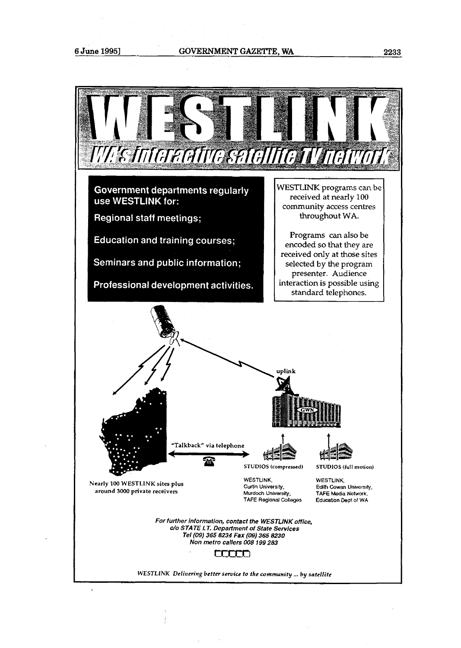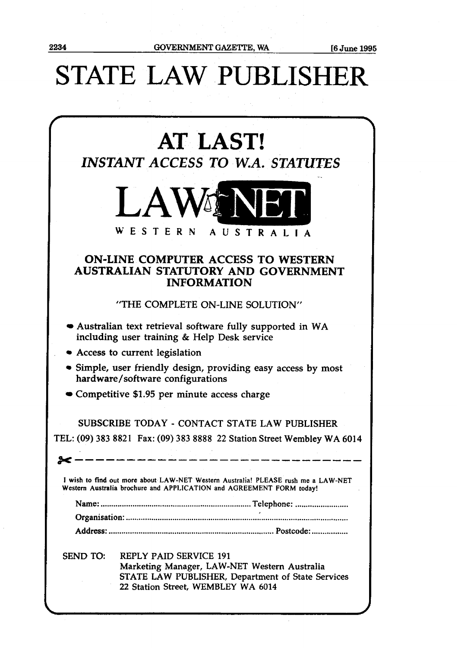## **STATE** LAW PUBLISHER

|                 | <b>AT LAST!</b><br>INSTANT ACCESS TO W.A. STATUTES                                                                                                                       |
|-----------------|--------------------------------------------------------------------------------------------------------------------------------------------------------------------------|
|                 | <b>LAWENEI</b><br><b>WESTERN</b><br>AUSTRALIA                                                                                                                            |
|                 | <b>ON-LINE COMPUTER ACCESS TO WESTERN</b><br>AUSTRALIAN STATUTORY AND GOVERNMENT<br><b>INFORMATION</b>                                                                   |
|                 | "THE COMPLETE ON-LINE SOLUTION"                                                                                                                                          |
|                 | • Australian text retrieval software fully supported in WA<br>including user training & Help Desk service                                                                |
|                 | • Access to current legislation                                                                                                                                          |
|                 | • Simple, user friendly design, providing easy access by most<br>hardware/software configurations                                                                        |
|                 | • Competitive \$1.95 per minute access charge                                                                                                                            |
|                 | SUBSCRIBE TODAY - CONTACT STATE LAW PUBLISHER                                                                                                                            |
|                 | TEL: (09) 383 8821 Fax: (09) 383 8888 22 Station Street Wembley WA 6014                                                                                                  |
|                 |                                                                                                                                                                          |
|                 | I wish to find out more about LAW-NET Western Australia! PLEASE rush me a LAW-NET<br>Western Australia brochure and APPLICATION and AGREEMENT FORM today!                |
|                 |                                                                                                                                                                          |
|                 |                                                                                                                                                                          |
|                 |                                                                                                                                                                          |
| <b>SEND TO:</b> | <b>REPLY PAID SERVICE 191</b><br>Marketing Manager, LAW-NET Western Australia<br>STATE LAW PUBLISHER, Department of State Services<br>22 Station Street, WEMBLEY WA 6014 |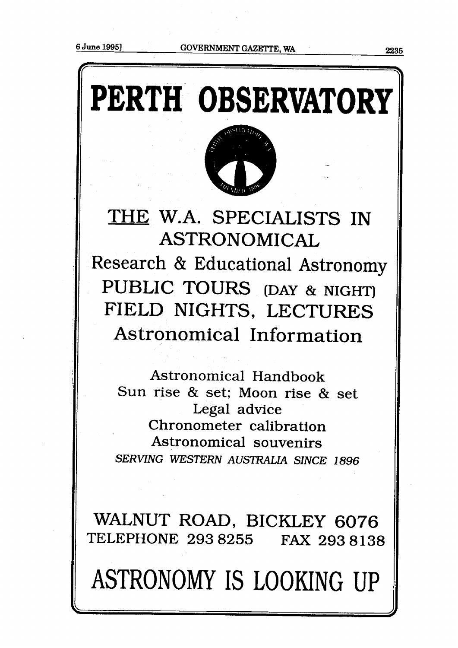# ' **PERTH OBSERVATORY**



## THE W.A. SPECIALISTS IN ASTRONOMICAL Research & Educational Astronomy PUBLIC TOURS **(DAY** & NIGHT) FIELD NIGHTS, LECTURES Astronomical Information

Astronomical Handbook Sun rise & set; Moon rise & set Legal advice Chronometer calibration Astronomical souvenirs **SERVING WESTERN AUSTRALIA SINCE 1896** 

WALNUT ROAD, BICKLEY **6076**  TELEPHONE **293** 8255 FAX **2938138** 

ASTRONOMY IS LOOKING UP